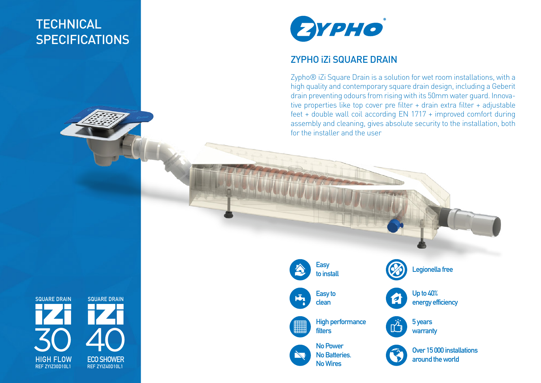## **TECHNICAL SPECIFICATIONS**



## ZYPHO iZi SQUARE DRAIN

Zypho® iZi Square Drain is a solution for wet room installations, with a high quality and contemporary square drain design, including a Geberit drain preventing odours from rising with its 50mm water guard. Innovative properties like top cover pre filter + drain extra filter + adjustable feet + double wall coil according EN 1717 + improved comfort during assembly and cleaning, gives absolute security to the installation, both for the installer and the user

**SQUARE DRAIN ECO SHOWER REF ZYIZ40D10L1 HIGH FLOW** 40 **REF ZYIZ30D10L1 SQUARE DRAIN** 30

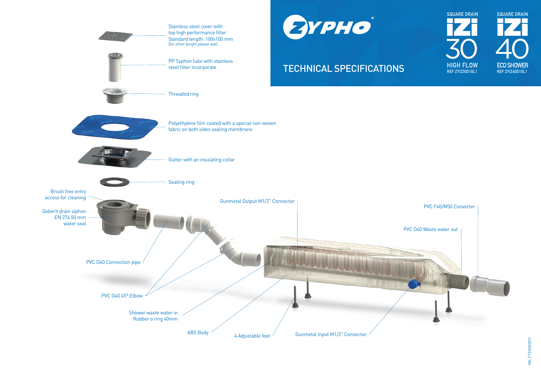

**SQUARE DRAIN SQUARE DRAIN**